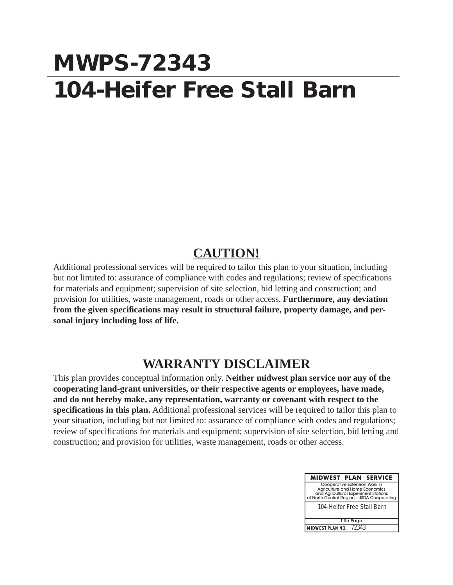## **MWPS-72343 104-Heifer Free Stall Barn**

## **CAUTION!**

Additional professional services will be required to tailor this plan to your situation, including but not limited to: assurance of compliance with codes and regulations; review of specifications for materials and equipment; supervision of site selection, bid letting and construction; and provision for utilities, waste management, roads or other access. **Furthermore, any deviation from the given specifications may result in structural failure, property damage, and personal injury including loss of life.**

## **WARRANTY DISCLAIMER**

This plan provides conceptual information only. **Neither midwest plan service nor any of the cooperating land-grant universities, or their respective agents or employees, have made, and do not hereby make, any representation, warranty or covenant with respect to the specifications in this plan.** Additional professional services will be required to tailor this plan to your situation, including but not limited to: assurance of compliance with codes and regulations; review of specifications for materials and equipment; supervision of site selection, bid letting and construction; and provision for utilities, waste management, roads or other access.

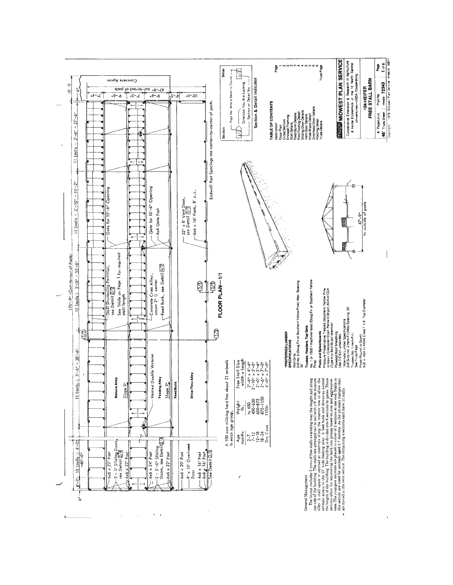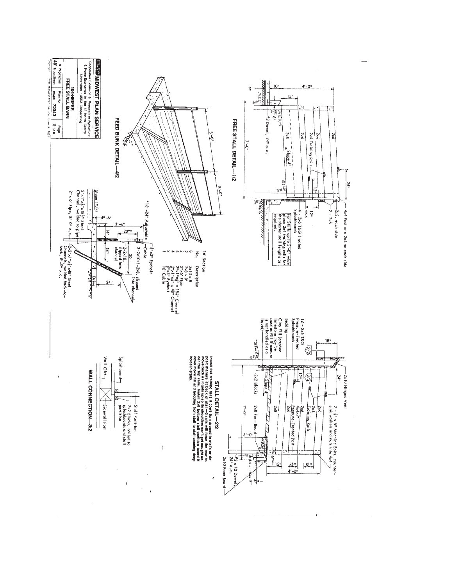

l,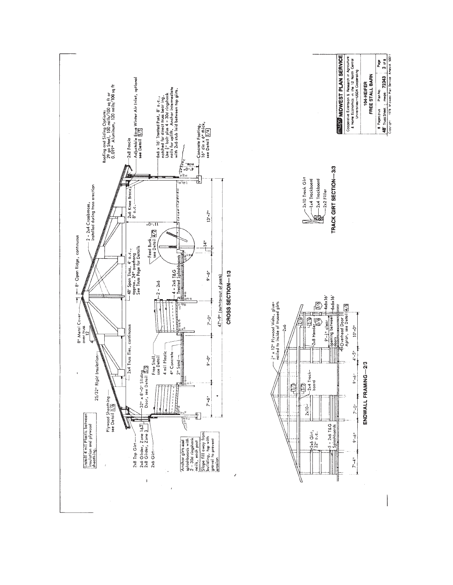





**INVISI MOWEST PLAN SERVICE** 

Cooperative Extension & Research in Agriculture<br>& Home Economics in the 12 North Central

|                                                |                               | Page                   |
|------------------------------------------------|-------------------------------|------------------------|
| <b>Designation of the Channel Construction</b> | FREE STALL BARN<br>104-HEIFER | Plan No.<br>Pages plus |

 $\frac{48!}{\cos\varphi}$  Truss Sheet  $\frac{1}{1}$  maps 72343  $\frac{3}{1}$  3 of 8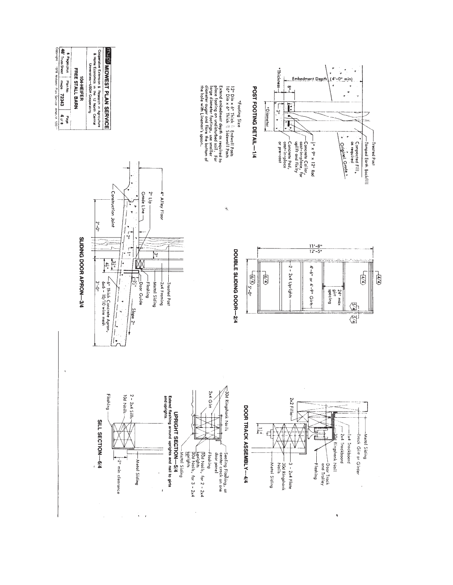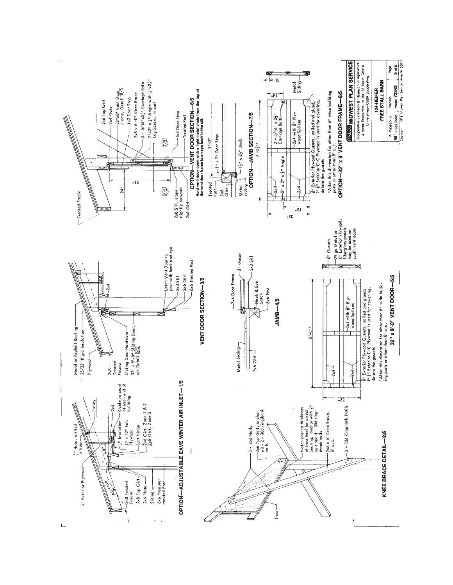